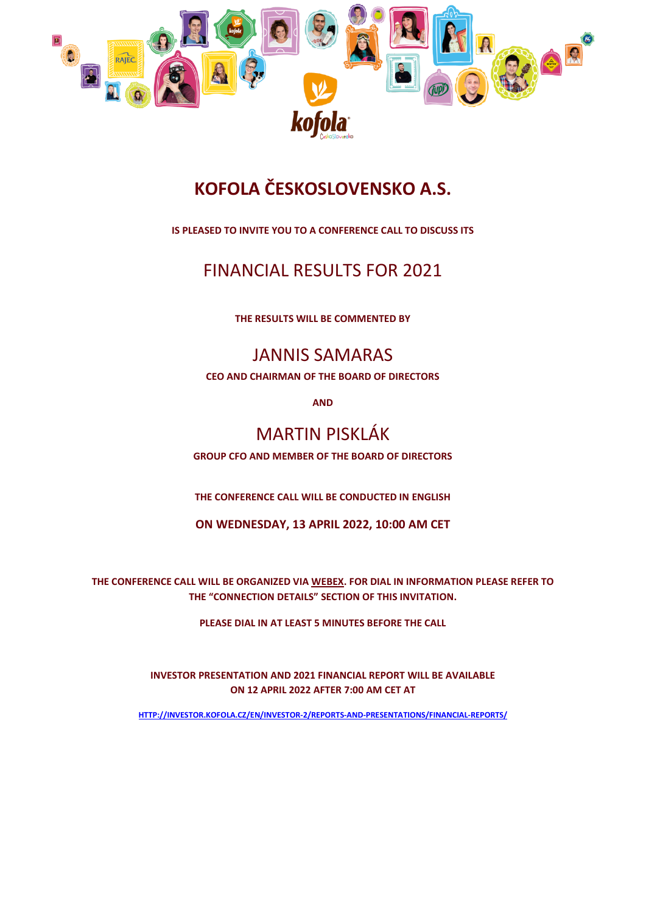

# **KOFOLA ČESKOSLOVENSKO A.S.**

**IS PLEASED TO INVITE YOU TO A CONFERENCE CALL TO DISCUSS ITS** 

### FINANCIAL RESULTS FOR 2021

**THE RESULTS WILL BE COMMENTED BY**

### JANNIS SAMARAS

**CEO AND CHAIRMAN OF THE BOARD OF DIRECTORS**

**AND**

## MARTIN PISKLÁK

**GROUP CFO AND MEMBER OF THE BOARD OF DIRECTORS**

**THE CONFERENCE CALL WILL BE CONDUCTED IN ENGLISH**

**ON WEDNESDAY, 13 APRIL 2022, 10:00 AM CET**

**THE CONFERENCE CALL WILL BE ORGANIZED VIA WEBEX. FOR DIAL IN INFORMATION PLEASE REFER TO THE "CONNECTION DETAILS" SECTION OF THIS INVITATION.**

**PLEASE DIAL IN AT LEAST 5 MINUTES BEFORE THE CALL**

**INVESTOR PRESENTATION AND 2021 FINANCIAL REPORT WILL BE AVAILABLE ON 12 APRIL 2022 AFTER 7:00 AM CET AT** 

**[HTTP://INVESTOR.KOFOLA.CZ/EN/INVESTOR-2/REPORTS-AND-PRESENTATIONS/FINANCIAL-REPORTS/](http://investor.kofola.cz/en/investor-2/reports-and-presentations/financial-reports/)**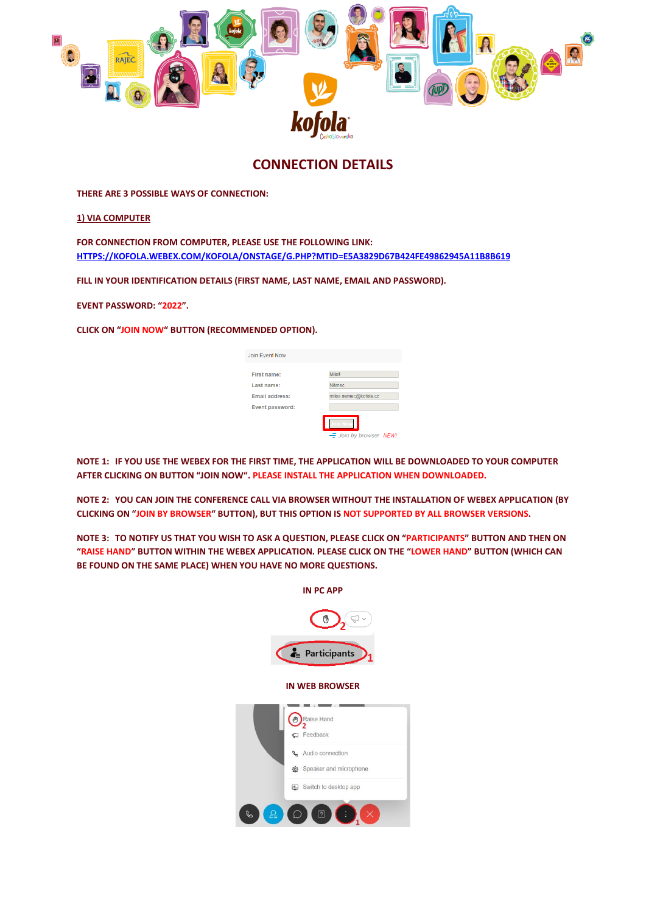

#### **CONNECTION DETAILS**

**THERE ARE 3 POSSIBLE WAYS OF CONNECTION:**

**1) VIA COMPUTER**

**FOR CONNECTION FROM COMPUTER, PLEASE USE THE FOLLOWING LINK: [HTTPS://KOFOLA.WEBEX.COM/KOFOLA/ONSTAGE/G.PHP?MTID=E5A3829D67B424FE49862945A11B8B619](https://kofola.webex.com/kofola/onstage/g.php?MTID=e5a3829d67b424fe49862945a11b8b619)**

**FILL IN YOUR IDENTIFICATION DETAILS (FIRST NAME, LAST NAME, EMAIL AND PASSWORD).**

**EVENT PASSWORD: "2022".**

**CLICK ON "JOIN NOW" BUTTON (RECOMMENDED OPTION).**

| <b>Join Event Now</b>  |                       |
|------------------------|-----------------------|
| <b>First name:</b>     | Miloš                 |
| Last name:             | Němec                 |
| Email address:         | milos.nemec@kofola.cz |
| <b>Event password:</b> |                       |
|                        | - Join by browser NEW |

**NOTE 1: IF YOU USE THE WEBEX FOR THE FIRST TIME, THE APPLICATION WILL BE DOWNLOADED TO YOUR COMPUTER AFTER CLICKING ON BUTTON "JOIN NOW". PLEASE INSTALL THE APPLICATION WHEN DOWNLOADED.**

**NOTE 2: YOU CAN JOIN THE CONFERENCE CALL VIA BROWSER WITHOUT THE INSTALLATION OF WEBEX APPLICATION (BY CLICKING ON "JOIN BY BROWSER" BUTTON), BUT THIS OPTION IS NOT SUPPORTED BY ALL BROWSER VERSIONS.**

**NOTE 3: TO NOTIFY US THAT YOU WISH TO ASK A QUESTION, PLEASE CLICK ON "PARTICIPANTS" BUTTON AND THEN ON "RAISE HAND" BUTTON WITHIN THE WEBEX APPLICATION. PLEASE CLICK ON THE "LOWER HAND" BUTTON (WHICH CAN BE FOUND ON THE SAME PLACE) WHEN YOU HAVE NO MORE QUESTIONS.**